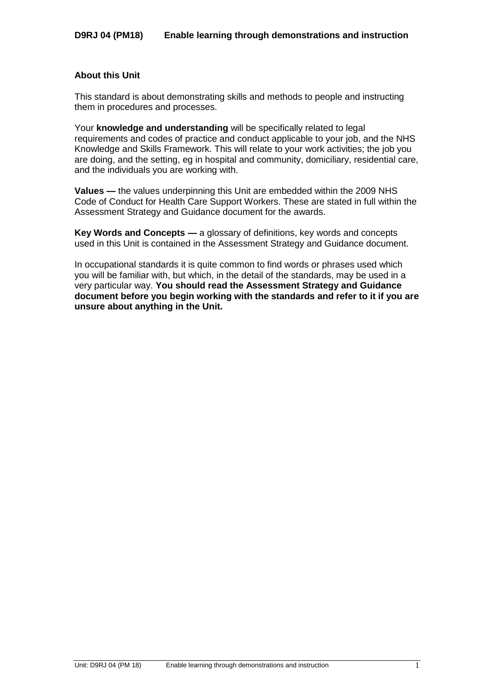### **About this Unit**

This standard is about demonstrating skills and methods to people and instructing them in procedures and processes.

Your **knowledge and understanding** will be specifically related to legal requirements and codes of practice and conduct applicable to your job, and the NHS Knowledge and Skills Framework. This will relate to your work activities; the job you are doing, and the setting, eg in hospital and community, domiciliary, residential care, and the individuals you are working with.

**Values —** the values underpinning this Unit are embedded within the 2009 NHS Code of Conduct for Health Care Support Workers. These are stated in full within the Assessment Strategy and Guidance document for the awards.

**Key Words and Concepts —** a glossary of definitions, key words and concepts used in this Unit is contained in the Assessment Strategy and Guidance document.

In occupational standards it is quite common to find words or phrases used which you will be familiar with, but which, in the detail of the standards, may be used in a very particular way. **You should read the Assessment Strategy and Guidance document before you begin working with the standards and refer to it if you are unsure about anything in the Unit.**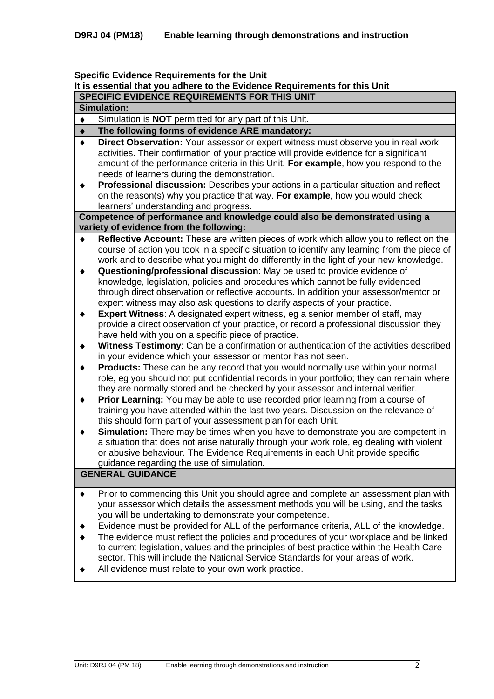#### **Specific Evidence Requirements for the Unit**

# **It is essential that you adhere to the Evidence Requirements for this Unit**

**SPECIFIC EVIDENCE REQUIREMENTS FOR THIS UNIT**

| <b>Simulation:</b> |                                                                                                                                                                                                                                                                                                                     |  |  |  |
|--------------------|---------------------------------------------------------------------------------------------------------------------------------------------------------------------------------------------------------------------------------------------------------------------------------------------------------------------|--|--|--|
| ٠                  | Simulation is <b>NOT</b> permitted for any part of this Unit.                                                                                                                                                                                                                                                       |  |  |  |
| $\bullet$          | The following forms of evidence ARE mandatory:                                                                                                                                                                                                                                                                      |  |  |  |
| $\bullet$          | Direct Observation: Your assessor or expert witness must observe you in real work<br>activities. Their confirmation of your practice will provide evidence for a significant<br>amount of the performance criteria in this Unit. For example, how you respond to the<br>needs of learners during the demonstration. |  |  |  |
| ۰                  | Professional discussion: Describes your actions in a particular situation and reflect<br>on the reason(s) why you practice that way. For example, how you would check                                                                                                                                               |  |  |  |

learners' understanding and progress. **Competence of performance and knowledge could also be demonstrated using a variety of evidence from the following:**

- **Reflective Account:** These are written pieces of work which allow you to reflect on the  $\blacklozenge$ course of action you took in a specific situation to identify any learning from the piece of work and to describe what you might do differently in the light of your new knowledge.
- **Questioning/professional discussion**: May be used to provide evidence of  $\blacklozenge$ knowledge, legislation, policies and procedures which cannot be fully evidenced through direct observation or reflective accounts. In addition your assessor/mentor or expert witness may also ask questions to clarify aspects of your practice.
- **Expert Witness**: A designated expert witness, eg a senior member of staff, may  $\blacklozenge$ provide a direct observation of your practice, or record a professional discussion they have held with you on a specific piece of practice.
- **Witness Testimony**: Can be a confirmation or authentication of the activities described  $\blacklozenge$ in your evidence which your assessor or mentor has not seen.
- $\blacklozenge$ **Products:** These can be any record that you would normally use within your normal role, eg you should not put confidential records in your portfolio; they can remain where they are normally stored and be checked by your assessor and internal verifier.
- $\blacklozenge$ **Prior Learning:** You may be able to use recorded prior learning from a course of training you have attended within the last two years. Discussion on the relevance of this should form part of your assessment plan for each Unit.
- **Simulation:** There may be times when you have to demonstrate you are competent in  $\blacklozenge$ a situation that does not arise naturally through your work role, eg dealing with violent or abusive behaviour. The Evidence Requirements in each Unit provide specific guidance regarding the use of simulation.

# **GENERAL GUIDANCE**

- Prior to commencing this Unit you should agree and complete an assessment plan with  $\bullet$ your assessor which details the assessment methods you will be using, and the tasks you will be undertaking to demonstrate your competence.
- Evidence must be provided for ALL of the performance criteria, ALL of the knowledge.  $\bullet$
- The evidence must reflect the policies and procedures of your workplace and be linked  $\blacktriangle$ to current legislation, values and the principles of best practice within the Health Care sector. This will include the National Service Standards for your areas of work.
- All evidence must relate to your own work practice.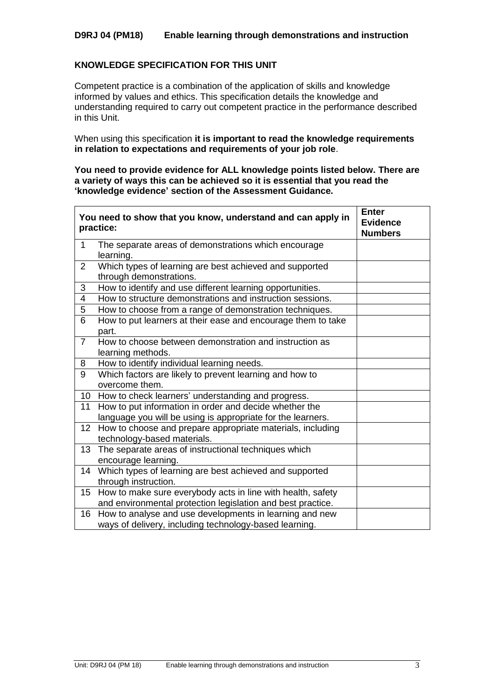# **D9RJ 04 (PM18) Enable learning through demonstrations and instruction**

### **KNOWLEDGE SPECIFICATION FOR THIS UNIT**

Competent practice is a combination of the application of skills and knowledge informed by values and ethics. This specification details the knowledge and understanding required to carry out competent practice in the performance described in this Unit.

When using this specification **it is important to read the knowledge requirements in relation to expectations and requirements of your job role**.

**You need to provide evidence for ALL knowledge points listed below. There are a variety of ways this can be achieved so it is essential that you read the 'knowledge evidence' section of the Assessment Guidance.**

|                  | You need to show that you know, understand and can apply in<br>practice:                                                   | <b>Enter</b><br><b>Evidence</b><br><b>Numbers</b> |
|------------------|----------------------------------------------------------------------------------------------------------------------------|---------------------------------------------------|
| 1                | The separate areas of demonstrations which encourage<br>learning.                                                          |                                                   |
| $\overline{2}$   | Which types of learning are best achieved and supported<br>through demonstrations.                                         |                                                   |
| 3                | How to identify and use different learning opportunities.                                                                  |                                                   |
| 4                | How to structure demonstrations and instruction sessions.                                                                  |                                                   |
| 5                | How to choose from a range of demonstration techniques.                                                                    |                                                   |
| 6                | How to put learners at their ease and encourage them to take<br>part.                                                      |                                                   |
| $\overline{7}$   | How to choose between demonstration and instruction as<br>learning methods.                                                |                                                   |
| 8                | How to identify individual learning needs.                                                                                 |                                                   |
| 9                | Which factors are likely to prevent learning and how to<br>overcome them.                                                  |                                                   |
| 10               | How to check learners' understanding and progress.                                                                         |                                                   |
| 11               | How to put information in order and decide whether the                                                                     |                                                   |
|                  | language you will be using is appropriate for the learners.                                                                |                                                   |
| 12               | How to choose and prepare appropriate materials, including<br>technology-based materials.                                  |                                                   |
| 13               | The separate areas of instructional techniques which<br>encourage learning.                                                |                                                   |
| 14               | Which types of learning are best achieved and supported<br>through instruction.                                            |                                                   |
| 15 <sub>15</sub> | How to make sure everybody acts in line with health, safety<br>and environmental protection legislation and best practice. |                                                   |
| 16               | How to analyse and use developments in learning and new<br>ways of delivery, including technology-based learning.          |                                                   |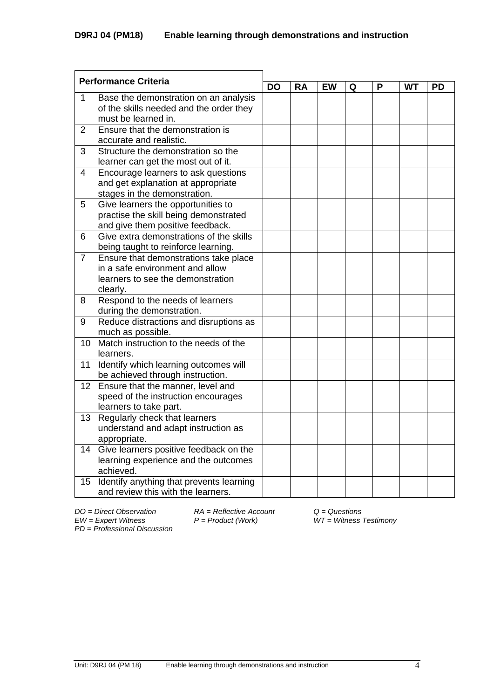| <b>Performance Criteria</b> |                                                                                                                           |           |           |    |   |   |    |           |
|-----------------------------|---------------------------------------------------------------------------------------------------------------------------|-----------|-----------|----|---|---|----|-----------|
|                             |                                                                                                                           | <b>DO</b> | <b>RA</b> | EW | Q | P | WT | <b>PD</b> |
| 1                           | Base the demonstration on an analysis<br>of the skills needed and the order they<br>must be learned in.                   |           |           |    |   |   |    |           |
| $\overline{2}$              | Ensure that the demonstration is<br>accurate and realistic.                                                               |           |           |    |   |   |    |           |
| 3                           | Structure the demonstration so the<br>learner can get the most out of it.                                                 |           |           |    |   |   |    |           |
| 4                           | Encourage learners to ask questions<br>and get explanation at appropriate<br>stages in the demonstration.                 |           |           |    |   |   |    |           |
| 5                           | Give learners the opportunities to<br>practise the skill being demonstrated<br>and give them positive feedback.           |           |           |    |   |   |    |           |
| 6                           | Give extra demonstrations of the skills<br>being taught to reinforce learning.                                            |           |           |    |   |   |    |           |
| $\overline{7}$              | Ensure that demonstrations take place<br>in a safe environment and allow<br>learners to see the demonstration<br>clearly. |           |           |    |   |   |    |           |
| 8                           | Respond to the needs of learners<br>during the demonstration.                                                             |           |           |    |   |   |    |           |
| 9                           | Reduce distractions and disruptions as<br>much as possible.                                                               |           |           |    |   |   |    |           |
| 10                          | Match instruction to the needs of the<br>learners.                                                                        |           |           |    |   |   |    |           |
| 11                          | Identify which learning outcomes will<br>be achieved through instruction.                                                 |           |           |    |   |   |    |           |
| 12 <sub>2</sub>             | Ensure that the manner, level and<br>speed of the instruction encourages<br>learners to take part.                        |           |           |    |   |   |    |           |
| 13                          | Regularly check that learners<br>understand and adapt instruction as<br>appropriate.                                      |           |           |    |   |   |    |           |
| 14                          | Give learners positive feedback on the<br>learning experience and the outcomes<br>achieved.                               |           |           |    |   |   |    |           |
| 15 <sub>2</sub>             | Identify anything that prevents learning<br>and review this with the learners.                                            |           |           |    |   |   |    |           |

*PD* = *Professional Discussion*

*DO = Direct Observation RA = Reflective Account Q = Questions*

*EW = Expert Witness P = Product (Work) WT = Witness Testimony*